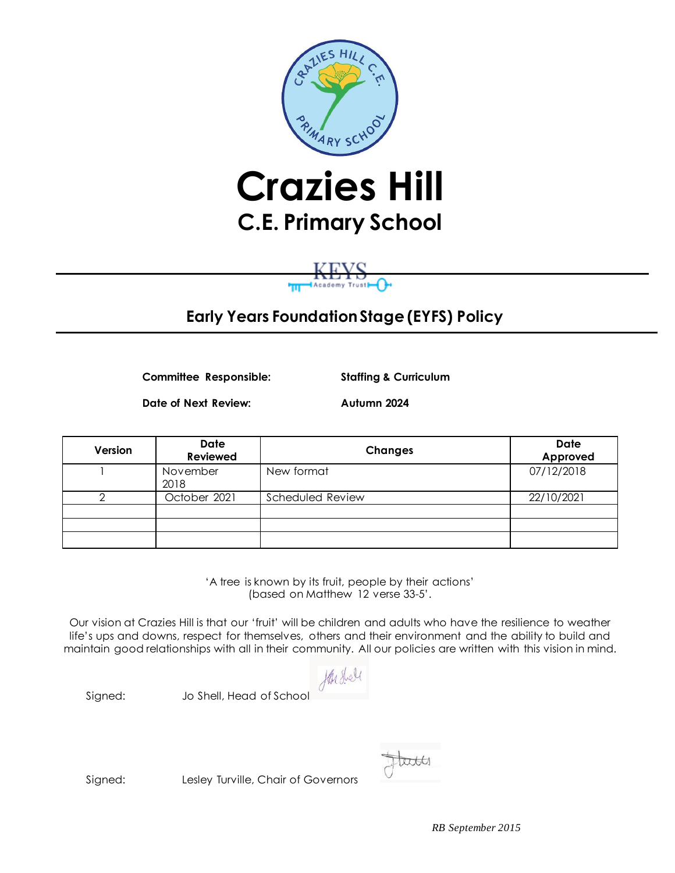

# **C.E. Primary School**

# **Early Years Foundation Stage (EYFS) Policy**

**Committee Responsible: Staffing & Curriculum**

**Date of Next Review: Autumn 2024**

**Version Date Reviewed Changes Date Approved** 1 November 2018 New format 07/12/2018 2 October 2021 Scheduled Review 22/10/2021

> 'A tree is known by its fruit, people by their actions' (based on Matthew 12 verse 33-5'.

Our vision at Crazies Hill is that our 'fruit' will be children and adults who have the resilience to weather life's ups and downs, respect for themselves, others and their environment and the ability to build and maintain good relationships with all in their community. All our policies are written with this vision in mind.

Hu shell

Signed: Jo Shell, Head of School

tates

Signed: Lesley Turville, Chair of Governors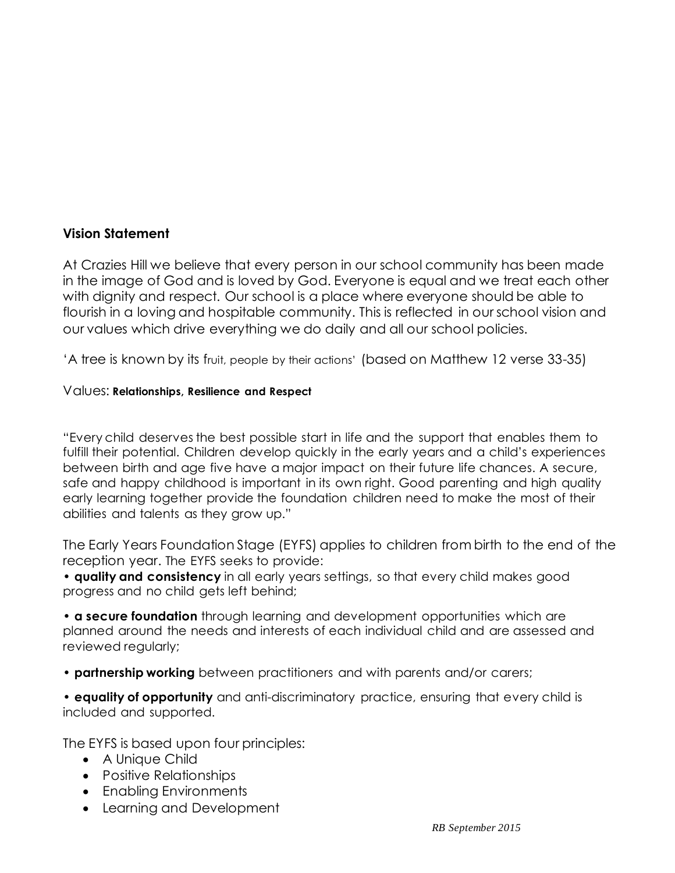#### **Vision Statement**

At Crazies Hill we believe that every person in our school community has been made in the image of God and is loved by God. Everyone is equal and we treat each other with dignity and respect. Our school is a place where everyone should be able to flourish in a loving and hospitable community. This is reflected in our school vision and our values which drive everything we do daily and all our school policies.

'A tree is known by its fruit, people by their actions' (based on Matthew 12 verse 33-35)

#### Values: **Relationships, Resilience and Respect**

"Every child deserves the best possible start in life and the support that enables them to fulfill their potential. Children develop quickly in the early years and a child's experiences between birth and age five have a major impact on their future life chances. A secure, safe and happy childhood is important in its own right. Good parenting and high quality early learning together provide the foundation children need to make the most of their abilities and talents as they grow up."

The Early Years Foundation Stage (EYFS) applies to children from birth to the end of the reception year. The EYFS seeks to provide:

• **quality and consistency** in all early years settings, so that every child makes good progress and no child gets left behind;

• **a secure foundation** through learning and development opportunities which are planned around the needs and interests of each individual child and are assessed and reviewed regularly;

• **partnership working** between practitioners and with parents and/or carers;

• **equality of opportunity** and anti-discriminatory practice, ensuring that every child is included and supported.

The EYFS is based upon four principles:

- A Unique Child
- Positive Relationships
- Enabling Environments
- Learning and Development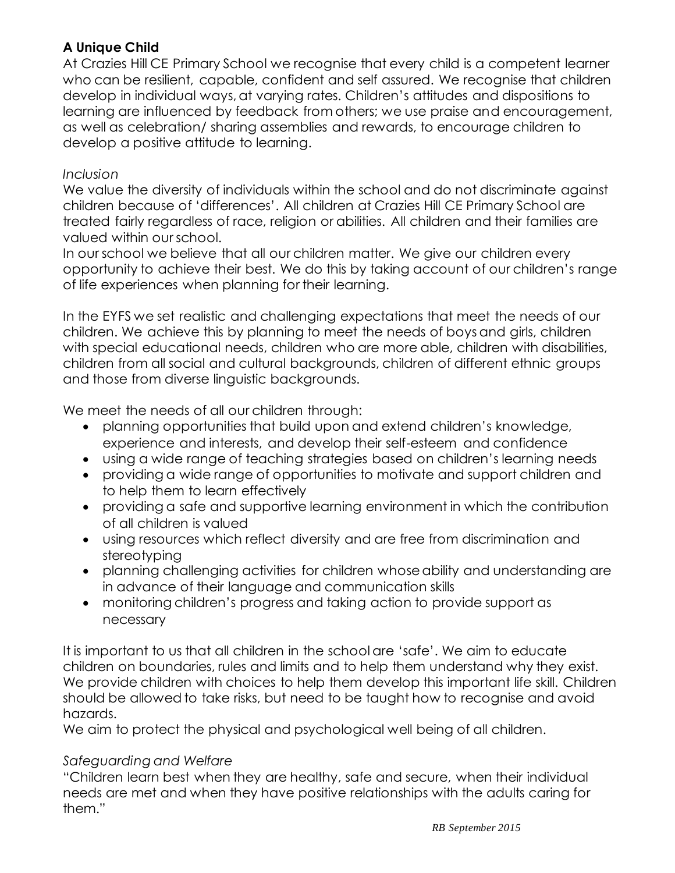# **A Unique Child**

At Crazies Hill CE Primary School we recognise that every child is a competent learner who can be resilient, capable, confident and self assured. We recognise that children develop in individual ways, at varying rates. Children's attitudes and dispositions to learning are influenced by feedback from others; we use praise and encouragement, as well as celebration/ sharing assemblies and rewards, to encourage children to develop a positive attitude to learning.

#### *Inclusion*

We value the diversity of individuals within the school and do not discriminate against children because of 'differences'. All children at Crazies Hill CE Primary School are treated fairly regardless of race, religion or abilities. All children and their families are valued within our school.

In our school we believe that all our children matter. We give our children every opportunity to achieve their best. We do this by taking account of our children's range of life experiences when planning for their learning.

In the EYFS we set realistic and challenging expectations that meet the needs of our children. We achieve this by planning to meet the needs of boys and girls, children with special educational needs, children who are more able, children with disabilities, children from all social and cultural backgrounds, children of different ethnic groups and those from diverse linguistic backgrounds.

We meet the needs of all our children through:

- planning opportunities that build upon and extend children's knowledge, experience and interests, and develop their self-esteem and confidence
- using a wide range of teaching strategies based on children's learning needs
- providing a wide range of opportunities to motivate and support children and to help them to learn effectively
- providing a safe and supportive learning environment in which the contribution of all children is valued
- using resources which reflect diversity and are free from discrimination and stereotyping
- planning challenging activities for children whose ability and understanding are in advance of their language and communication skills
- monitoring children's progress and taking action to provide support as necessary

It is important to us that all children in the school are 'safe'. We aim to educate children on boundaries, rules and limits and to help them understand why they exist. We provide children with choices to help them develop this important life skill. Children should be allowed to take risks, but need to be taught how to recognise and avoid hazards.

We aim to protect the physical and psychological well being of all children.

# *Safeguarding and Welfare*

"Children learn best when they are healthy, safe and secure, when their individual needs are met and when they have positive relationships with the adults caring for them."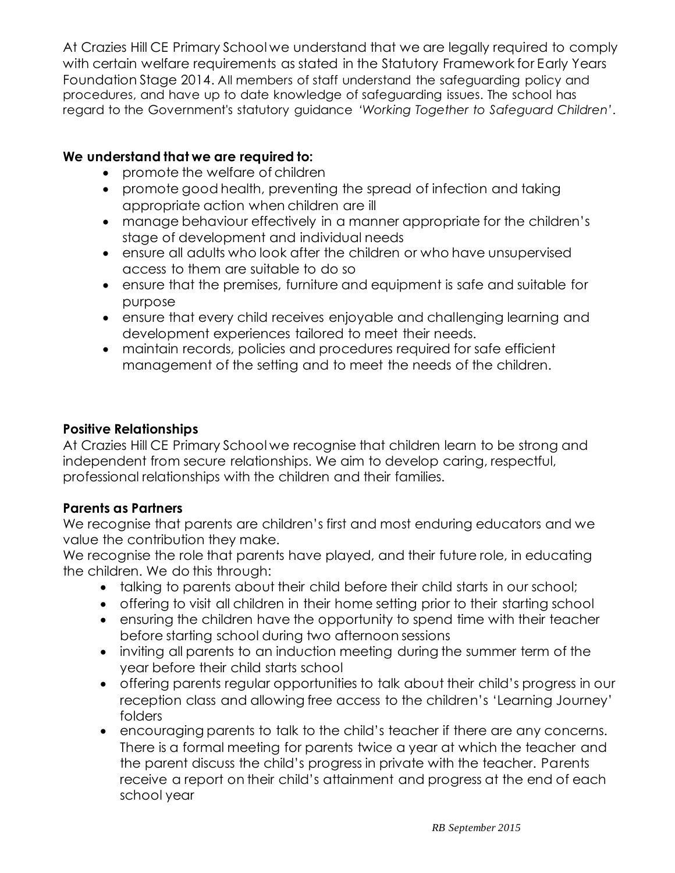At Crazies Hill CE Primary School we understand that we are legally required to comply with certain welfare requirements as stated in the Statutory Framework for Early Years Foundation Stage 2014. All members of staff understand the safeguarding policy and procedures, and have up to date knowledge of safeguarding issues. The school has regard to the Government's statutory guidance *'Working Together to Safeguard Children'*.

# **We understand that we are required to:**

- promote the welfare of children
- promote good health, preventing the spread of infection and taking appropriate action when children are ill
- manage behaviour effectively in a manner appropriate for the children's stage of development and individual needs
- ensure all adults who look after the children or who have unsupervised access to them are suitable to do so
- ensure that the premises, furniture and equipment is safe and suitable for purpose
- ensure that every child receives enjoyable and challenging learning and development experiences tailored to meet their needs.
- maintain records, policies and procedures required for safe efficient management of the setting and to meet the needs of the children.

#### **Positive Relationships**

At Crazies Hill CE Primary School we recognise that children learn to be strong and independent from secure relationships. We aim to develop caring, respectful, professional relationships with the children and their families.

#### **Parents as Partners**

We recognise that parents are children's first and most enduring educators and we value the contribution they make.

We recognise the role that parents have played, and their future role, in educating the children. We do this through:

- talking to parents about their child before their child starts in our school;
- offering to visit all children in their home setting prior to their starting school
- ensuring the children have the opportunity to spend time with their teacher before starting school during two afternoon sessions
- inviting all parents to an induction meeting during the summer term of the year before their child starts school
- offering parents regular opportunities to talk about their child's progress in our reception class and allowing free access to the children's 'Learning Journey' folders
- encouraging parents to talk to the child's teacher if there are any concerns. There is a formal meeting for parents twice a year at which the teacher and the parent discuss the child's progress in private with the teacher. Parents receive a report on their child's attainment and progress at the end of each school year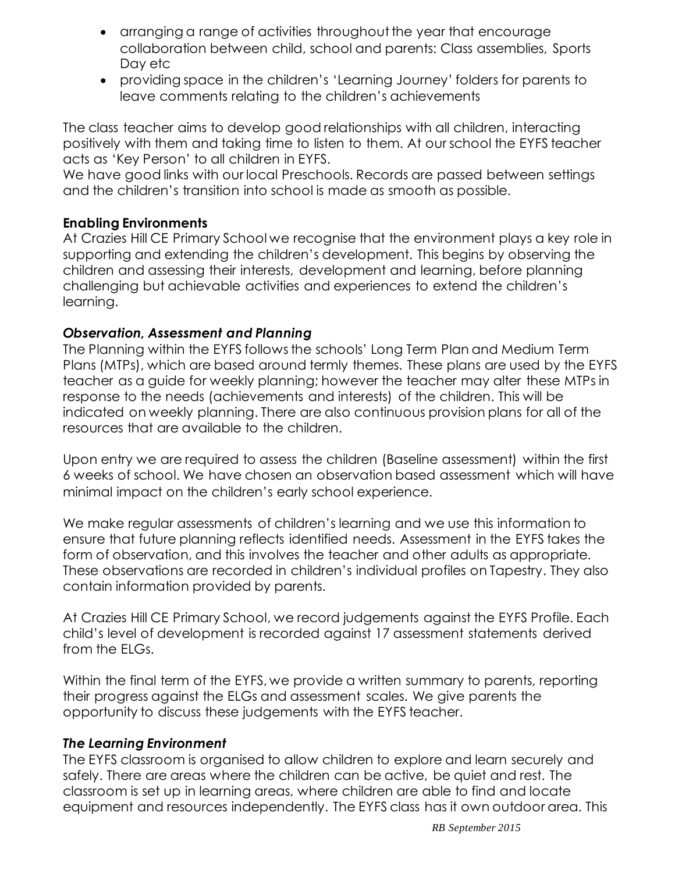- arranging a range of activities throughout the year that encourage collaboration between child, school and parents: Class assemblies, Sports Day etc
- providing space in the children's 'Learning Journey' folders for parents to leave comments relating to the children's achievements

The class teacher aims to develop good relationships with all children, interacting positively with them and taking time to listen to them. At our school the EYFS teacher acts as 'Key Person' to all children in EYFS.

We have good links with our local Preschools. Records are passed between settings and the children's transition into school is made as smooth as possible.

# **Enabling Environments**

At Crazies Hill CE Primary School we recognise that the environment plays a key role in supporting and extending the children's development. This begins by observing the children and assessing their interests, development and learning, before planning challenging but achievable activities and experiences to extend the children's learning.

# *Observation, Assessment and Planning*

The Planning within the EYFS follows the schools' Long Term Plan and Medium Term Plans (MTPs), which are based around termly themes. These plans are used by the EYFS teacher as a guide for weekly planning; however the teacher may alter these MTPs in response to the needs (achievements and interests) of the children. This will be indicated on weekly planning. There are also continuous provision plans for all of the resources that are available to the children.

Upon entry we are required to assess the children (Baseline assessment) within the first 6 weeks of school. We have chosen an observation based assessment which will have minimal impact on the children's early school experience.

We make regular assessments of children's learning and we use this information to ensure that future planning reflects identified needs. Assessment in the EYFS takes the form of observation, and this involves the teacher and other adults as appropriate. These observations are recorded in children's individual profiles on Tapestry. They also contain information provided by parents.

At Crazies Hill CE Primary School, we record judgements against the EYFS Profile. Each child's level of development is recorded against 17 assessment statements derived from the ELGs.

Within the final term of the EYFS, we provide a written summary to parents, reporting their progress against the ELGs and assessment scales. We give parents the opportunity to discuss these judgements with the EYFS teacher.

# *The Learning Environment*

The EYFS classroom is organised to allow children to explore and learn securely and safely. There are areas where the children can be active, be quiet and rest. The classroom is set up in learning areas, where children are able to find and locate equipment and resources independently. The EYFS class has it own outdoor area. This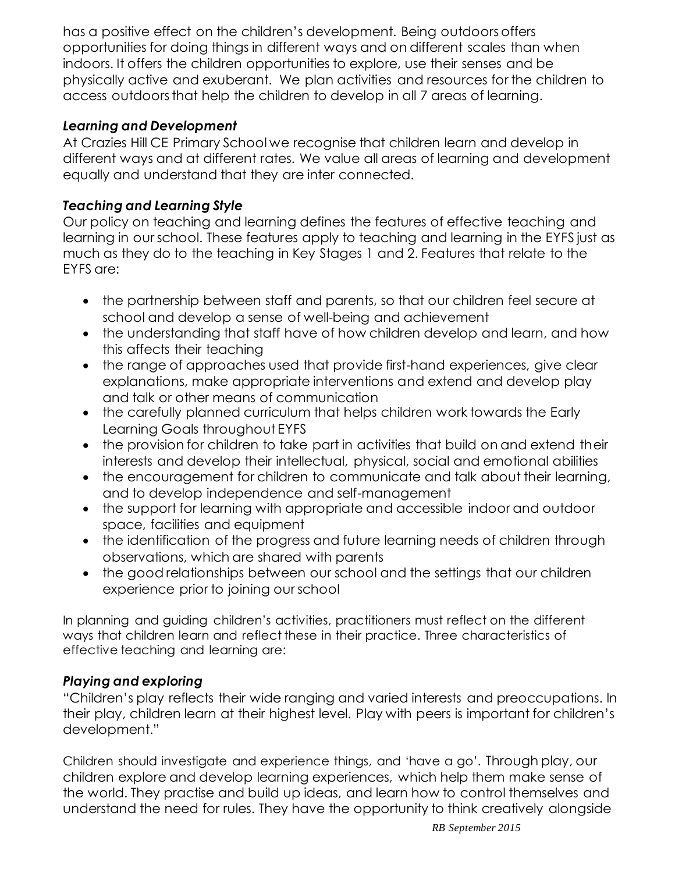has a positive effect on the children's development. Being outdoors offers opportunities for doing things in different ways and on different scales than when indoors. It offers the children opportunities to explore, use their senses and be physically active and exuberant. We plan activities and resources for the children to access outdoors that help the children to develop in all 7 areas of learning.

# *Learning and Development*

At Crazies Hill CE Primary School we recognise that children learn and develop in different ways and at different rates. We value all areas of learning and development equally and understand that they are inter connected.

# *Teaching and Learning Style*

Our policy on teaching and learning defines the features of effective teaching and learning in our school. These features apply to teaching and learning in the EYFS just as much as they do to the teaching in Key Stages 1 and 2. Features that relate to the EYFS are:

- the partnership between staff and parents, so that our children feel secure at school and develop a sense of well-being and achievement
- the understanding that staff have of how children develop and learn, and how this affects their teaching
- the range of approaches used that provide first-hand experiences, give clear explanations, make appropriate interventions and extend and develop play and talk or other means of communication
- the carefully planned curriculum that helps children work towards the Early Learning Goals throughout EYFS
- the provision for children to take part in activities that build on and extend their interests and develop their intellectual, physical, social and emotional abilities
- the encouragement for children to communicate and talk about their learning, and to develop independence and self-management
- the support for learning with appropriate and accessible indoor and outdoor space, facilities and equipment
- the identification of the progress and future learning needs of children through observations, which are shared with parents
- the good relationships between our school and the settings that our children experience prior to joining our school

In planning and guiding children's activities, practitioners must reflect on the different ways that children learn and reflect these in their practice. Three characteristics of effective teaching and learning are:

#### *Playing and exploring*

"Children's play reflects their wide ranging and varied interests and preoccupations. In their play, children learn at their highest level. Play with peers is important for children's development."

Children should investigate and experience things, and 'have a go'. Through play, our children explore and develop learning experiences, which help them make sense of the world. They practise and build up ideas, and learn how to control themselves and understand the need for rules. They have the opportunity to think creatively alongside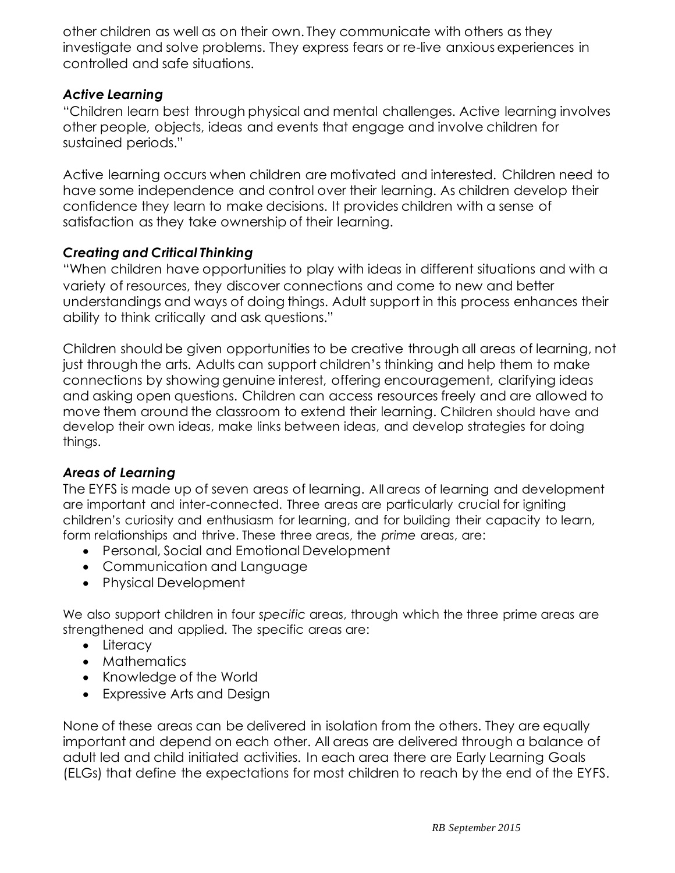other children as well as on their own. They communicate with others as they investigate and solve problems. They express fears or re-live anxious experiences in controlled and safe situations.

#### *Active Learning*

"Children learn best through physical and mental challenges. Active learning involves other people, objects, ideas and events that engage and involve children for sustained periods."

Active learning occurs when children are motivated and interested. Children need to have some independence and control over their learning. As children develop their confidence they learn to make decisions. It provides children with a sense of satisfaction as they take ownership of their learning.

# *Creating and Critical Thinking*

"When children have opportunities to play with ideas in different situations and with a variety of resources, they discover connections and come to new and better understandings and ways of doing things. Adult support in this process enhances their ability to think critically and ask questions."

Children should be given opportunities to be creative through all areas of learning, not just through the arts. Adults can support children's thinking and help them to make connections by showing genuine interest, offering encouragement, clarifying ideas and asking open questions. Children can access resources freely and are allowed to move them around the classroom to extend their learning. Children should have and develop their own ideas, make links between ideas, and develop strategies for doing things.

# *Areas of Learning*

The EYFS is made up of seven areas of learning. All areas of learning and development are important and inter-connected. Three areas are particularly crucial for igniting children's curiosity and enthusiasm for learning, and for building their capacity to learn, form relationships and thrive. These three areas, the *prime* areas, are:

- Personal, Social and Emotional Development
- Communication and Language
- Physical Development

We also support children in four *specific* areas, through which the three prime areas are strengthened and applied. The specific areas are:

- Literacy
- Mathematics
- Knowledge of the World
- Expressive Arts and Design

None of these areas can be delivered in isolation from the others. They are equally important and depend on each other. All areas are delivered through a balance of adult led and child initiated activities. In each area there are Early Learning Goals (ELGs) that define the expectations for most children to reach by the end of the EYFS.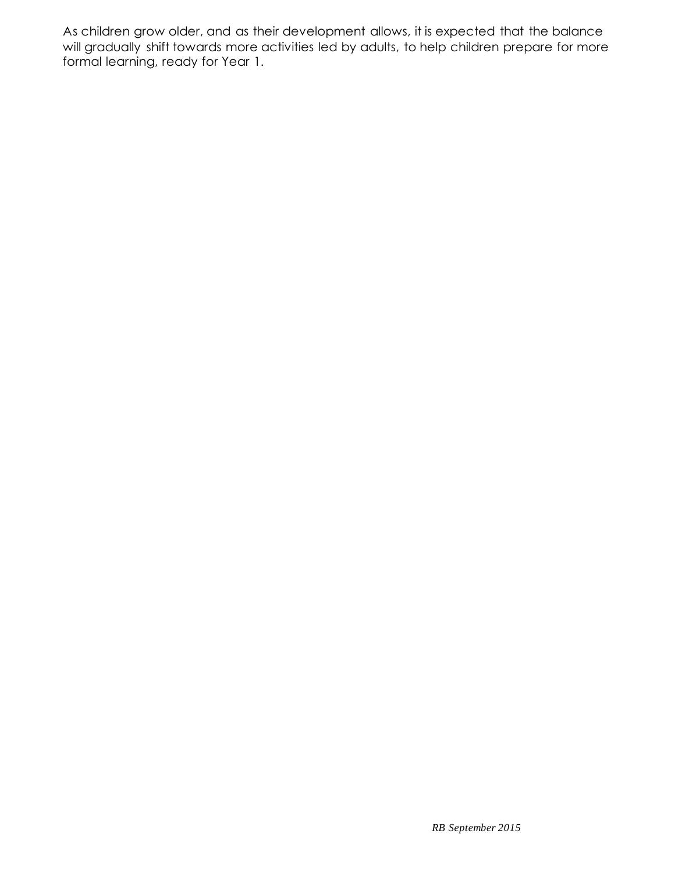As children grow older, and as their development allows, it is expected that the balance will gradually shift towards more activities led by adults, to help children prepare for more formal learning, ready for Year 1.